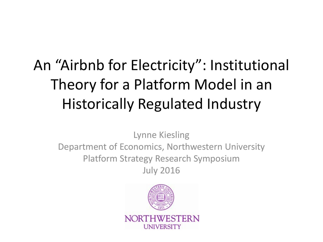## An "Airbnb for Electricity": Institutional Theory for a Platform Model in an Historically Regulated Industry

Lynne Kiesling Department of Economics, Northwestern University Platform Strategy Research Symposium July 2016

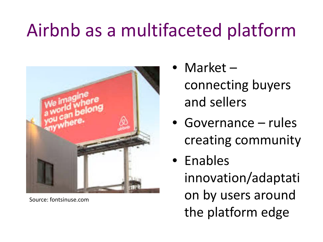# Airbnb as a multifaceted platform



Source: fontsinuse.com

• Market –

connecting buyers and sellers

- Governance rules creating community
- Enables innovation/adaptati on by users around the platform edge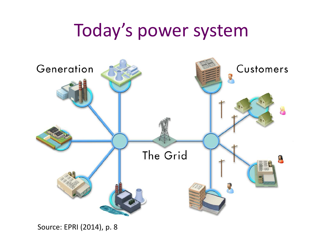## Today's power system

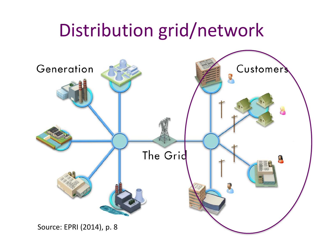## Distribution grid/network

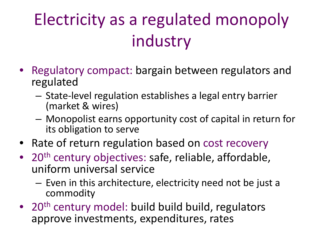# Electricity as a regulated monopoly industry

- Regulatory compact: bargain between regulators and regulated
	- State-level regulation establishes a legal entry barrier (market & wires)
	- Monopolist earns opportunity cost of capital in return for its obligation to serve
- Rate of return regulation based on cost recovery
- 20<sup>th</sup> century objectives: safe, reliable, affordable, uniform universal service
	- Even in this architecture, electricity need not be just a commodity
- 20<sup>th</sup> century model: build build build, regulators approve investments, expenditures, rates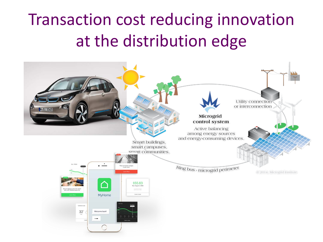## Transaction cost reducing innovation at the distribution edge

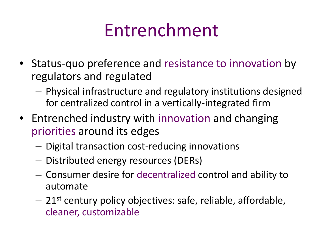# Entrenchment

- Status-quo preference and resistance to innovation by regulators and regulated
	- Physical infrastructure and regulatory institutions designed for centralized control in a vertically-integrated firm
- Entrenched industry with innovation and changing priorities around its edges
	- Digital transaction cost-reducing innovations
	- Distributed energy resources (DERs)
	- Consumer desire for decentralized control and ability to automate
	- $-21$ <sup>st</sup> century policy objectives: safe, reliable, affordable, cleaner, customizable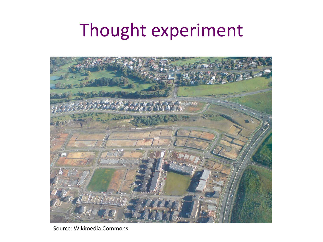# Thought experiment



Source: Wikimedia Commons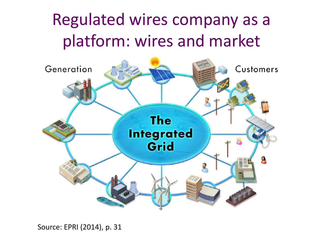#### Regulated wires company as a platform: wires and market

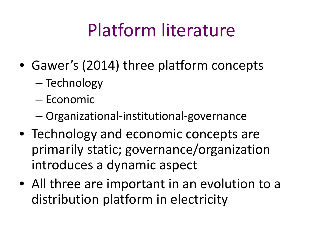# Platform literature

- Gawer's (2014) three platform concepts
	- Technology
	- Economic
	- Organizational-institutional-governance
- Technology and economic concepts are primarily static; governance/organization introduces a dynamic aspect
- All three are important in an evolution to a distribution platform in electricity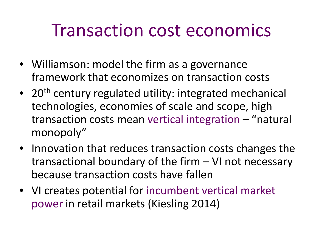## Transaction cost economics

- Williamson: model the firm as a governance framework that economizes on transaction costs
- 20<sup>th</sup> century regulated utility: integrated mechanical technologies, economies of scale and scope, high transaction costs mean vertical integration – "natural monopoly"
- Innovation that reduces transaction costs changes the transactional boundary of the firm – VI not necessary because transaction costs have fallen
- VI creates potential for incumbent vertical market power in retail markets (Kiesling 2014)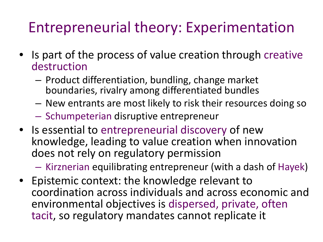#### Entrepreneurial theory: Experimentation

- Is part of the process of value creation through creative destruction
	- Product differentiation, bundling, change market boundaries, rivalry among differentiated bundles
	- New entrants are most likely to risk their resources doing so
	- Schumpeterian disruptive entrepreneur
- Is essential to entrepreneurial discovery of new knowledge, leading to value creation when innovation does not rely on regulatory permission

– Kirznerian equilibrating entrepreneur (with a dash of Hayek)

• Epistemic context: the knowledge relevant to coordination across individuals and across economic and environmental objectives is dispersed, private, often tacit, so regulatory mandates cannot replicate it